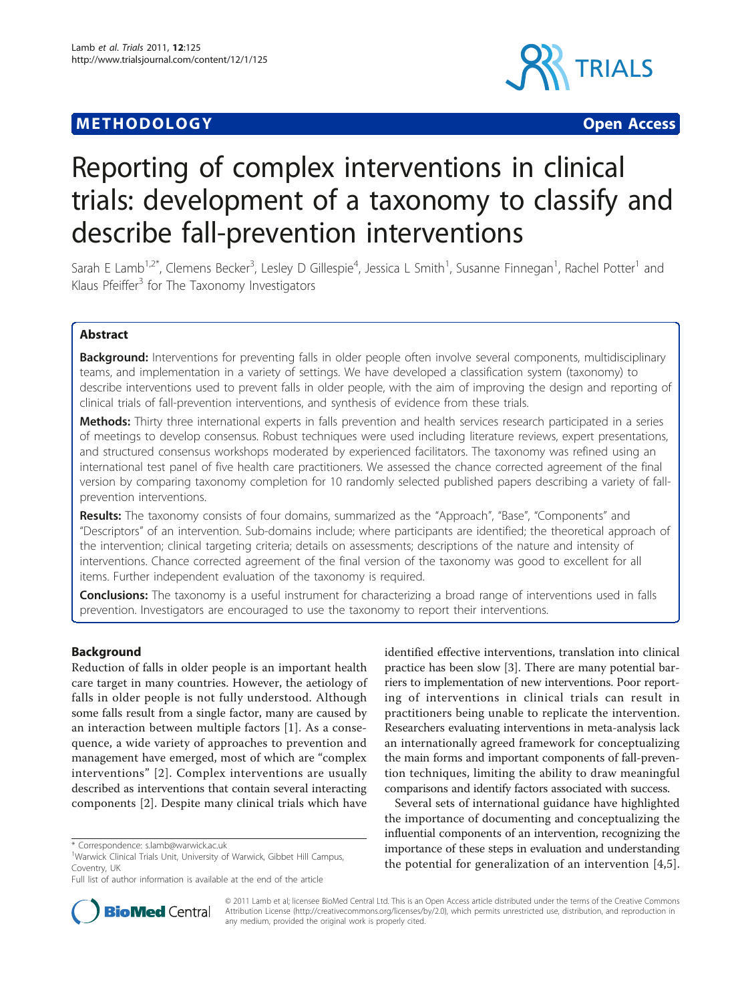# **METHODOLOGY** Open Access **Open Access**



# Reporting of complex interventions in clinical trials: development of a taxonomy to classify and describe fall-prevention interventions

Sarah E Lamb<sup>1,2\*</sup>, Clemens Becker<sup>3</sup>, Lesley D Gillespie<sup>4</sup>, Jessica L Smith<sup>1</sup>, Susanne Finnegan<sup>1</sup>, Rachel Potter<sup>1</sup> and Klaus Pfeiffer<sup>3</sup> for The Taxonomy Investigators

# Abstract

**Background:** Interventions for preventing falls in older people often involve several components, multidisciplinary teams, and implementation in a variety of settings. We have developed a classification system (taxonomy) to describe interventions used to prevent falls in older people, with the aim of improving the design and reporting of clinical trials of fall-prevention interventions, and synthesis of evidence from these trials.

Methods: Thirty three international experts in falls prevention and health services research participated in a series of meetings to develop consensus. Robust techniques were used including literature reviews, expert presentations, and structured consensus workshops moderated by experienced facilitators. The taxonomy was refined using an international test panel of five health care practitioners. We assessed the chance corrected agreement of the final version by comparing taxonomy completion for 10 randomly selected published papers describing a variety of fallprevention interventions.

Results: The taxonomy consists of four domains, summarized as the "Approach", "Base", "Components" and "Descriptors" of an intervention. Sub-domains include; where participants are identified; the theoretical approach of the intervention; clinical targeting criteria; details on assessments; descriptions of the nature and intensity of interventions. Chance corrected agreement of the final version of the taxonomy was good to excellent for all items. Further independent evaluation of the taxonomy is required.

**Conclusions:** The taxonomy is a useful instrument for characterizing a broad range of interventions used in falls prevention. Investigators are encouraged to use the taxonomy to report their interventions.

# Background

Reduction of falls in older people is an important health care target in many countries. However, the aetiology of falls in older people is not fully understood. Although some falls result from a single factor, many are caused by an interaction between multiple factors [\[1](#page-5-0)]. As a consequence, a wide variety of approaches to prevention and management have emerged, most of which are "complex interventions" [[2\]](#page-5-0). Complex interventions are usually described as interventions that contain several interacting components [[2](#page-5-0)]. Despite many clinical trials which have

identified effective interventions, translation into clinical practice has been slow [\[3](#page-5-0)]. There are many potential barriers to implementation of new interventions. Poor reporting of interventions in clinical trials can result in practitioners being unable to replicate the intervention. Researchers evaluating interventions in meta-analysis lack an internationally agreed framework for conceptualizing the main forms and important components of fall-prevention techniques, limiting the ability to draw meaningful comparisons and identify factors associated with success.

Several sets of international guidance have highlighted the importance of documenting and conceptualizing the influential components of an intervention, recognizing the importance of these steps in evaluation and understanding the potential for generalization of an intervention [[4,5](#page-5-0)].



© 2011 Lamb et al; licensee BioMed Central Ltd. This is an Open Access article distributed under the terms of the Creative Commons Attribution License [\(http://creativecommons.org/licenses/by/2.0](http://creativecommons.org/licenses/by/2.0)), which permits unrestricted use, distribution, and reproduction in any medium, provided the original work is properly cited.

<sup>\*</sup> Correspondence: [s.lamb@warwick.ac.uk](mailto:s.lamb@warwick.ac.uk)

<sup>&</sup>lt;sup>1</sup>Warwick Clinical Trials Unit, University of Warwick, Gibbet Hill Campus, Coventry, UK

Full list of author information is available at the end of the article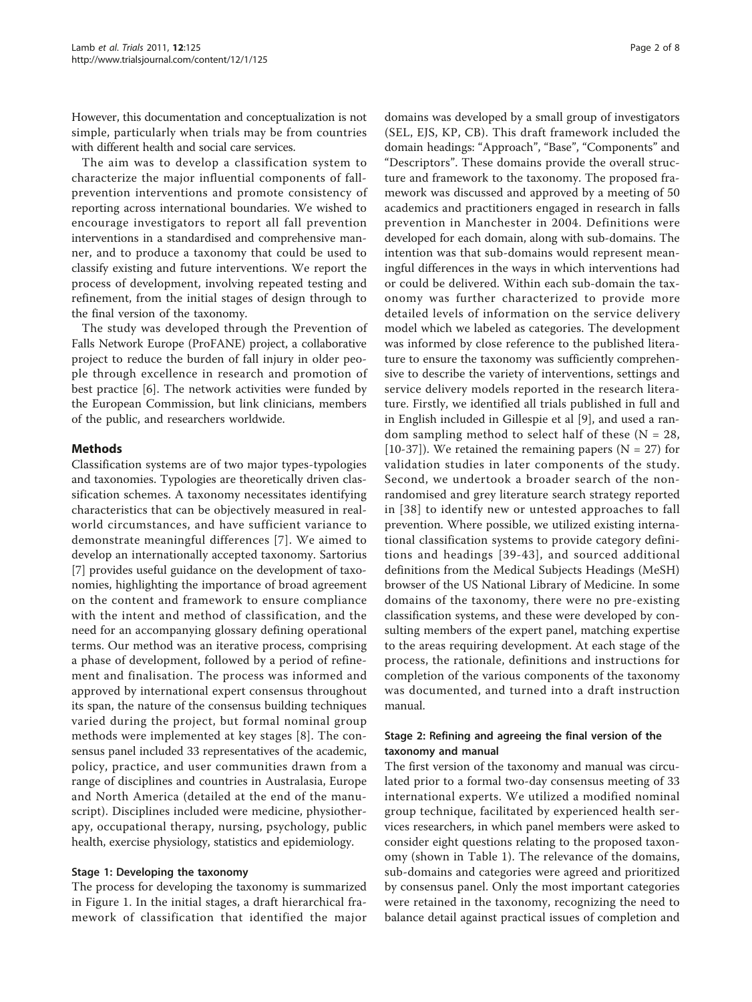However, this documentation and conceptualization is not simple, particularly when trials may be from countries with different health and social care services.

The aim was to develop a classification system to characterize the major influential components of fallprevention interventions and promote consistency of reporting across international boundaries. We wished to encourage investigators to report all fall prevention interventions in a standardised and comprehensive manner, and to produce a taxonomy that could be used to classify existing and future interventions. We report the process of development, involving repeated testing and refinement, from the initial stages of design through to the final version of the taxonomy.

The study was developed through the Prevention of Falls Network Europe (ProFANE) project, a collaborative project to reduce the burden of fall injury in older people through excellence in research and promotion of best practice [[6\]](#page-5-0). The network activities were funded by the European Commission, but link clinicians, members of the public, and researchers worldwide.

# Methods

Classification systems are of two major types-typologies and taxonomies. Typologies are theoretically driven classification schemes. A taxonomy necessitates identifying characteristics that can be objectively measured in realworld circumstances, and have sufficient variance to demonstrate meaningful differences [[7](#page-5-0)]. We aimed to develop an internationally accepted taxonomy. Sartorius [[7\]](#page-5-0) provides useful guidance on the development of taxonomies, highlighting the importance of broad agreement on the content and framework to ensure compliance with the intent and method of classification, and the need for an accompanying glossary defining operational terms. Our method was an iterative process, comprising a phase of development, followed by a period of refinement and finalisation. The process was informed and approved by international expert consensus throughout its span, the nature of the consensus building techniques varied during the project, but formal nominal group methods were implemented at key stages [[8\]](#page-5-0). The consensus panel included 33 representatives of the academic, policy, practice, and user communities drawn from a range of disciplines and countries in Australasia, Europe and North America (detailed at the end of the manuscript). Disciplines included were medicine, physiotherapy, occupational therapy, nursing, psychology, public health, exercise physiology, statistics and epidemiology.

# Stage 1: Developing the taxonomy

The process for developing the taxonomy is summarized in Figure [1](#page-2-0). In the initial stages, a draft hierarchical framework of classification that identified the major

domains was developed by a small group of investigators (SEL, EJS, KP, CB). This draft framework included the domain headings: "Approach", "Base", "Components" and "Descriptors". These domains provide the overall structure and framework to the taxonomy. The proposed framework was discussed and approved by a meeting of 50 academics and practitioners engaged in research in falls prevention in Manchester in 2004. Definitions were developed for each domain, along with sub-domains. The intention was that sub-domains would represent meaningful differences in the ways in which interventions had or could be delivered. Within each sub-domain the taxonomy was further characterized to provide more detailed levels of information on the service delivery model which we labeled as categories. The development was informed by close reference to the published literature to ensure the taxonomy was sufficiently comprehensive to describe the variety of interventions, settings and service delivery models reported in the research literature. Firstly, we identified all trials published in full and in English included in Gillespie et al [[9\]](#page-5-0), and used a random sampling method to select half of these  $(N = 28,$ [[10-](#page-5-0)[37\]](#page-6-0)). We retained the remaining papers ( $N = 27$ ) for validation studies in later components of the study. Second, we undertook a broader search of the nonrandomised and grey literature search strategy reported in [[38\]](#page-6-0) to identify new or untested approaches to fall prevention. Where possible, we utilized existing international classification systems to provide category definitions and headings [[39](#page-6-0)-[43](#page-6-0)], and sourced additional definitions from the Medical Subjects Headings (MeSH) browser of the US National Library of Medicine. In some domains of the taxonomy, there were no pre-existing classification systems, and these were developed by consulting members of the expert panel, matching expertise to the areas requiring development. At each stage of the process, the rationale, definitions and instructions for completion of the various components of the taxonomy was documented, and turned into a draft instruction manual.

# Stage 2: Refining and agreeing the final version of the taxonomy and manual

The first version of the taxonomy and manual was circulated prior to a formal two-day consensus meeting of 33 international experts. We utilized a modified nominal group technique, facilitated by experienced health services researchers, in which panel members were asked to consider eight questions relating to the proposed taxonomy (shown in Table [1](#page-2-0)). The relevance of the domains, sub-domains and categories were agreed and prioritized by consensus panel. Only the most important categories were retained in the taxonomy, recognizing the need to balance detail against practical issues of completion and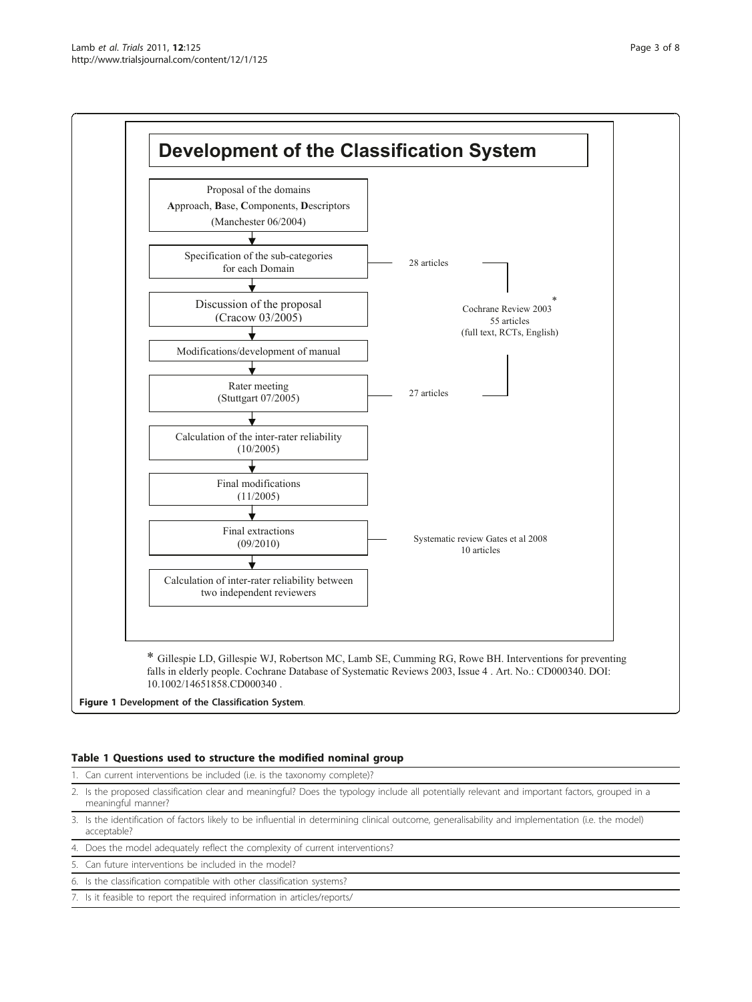<span id="page-2-0"></span>

# Table 1 Questions used to structure the modified nominal group

1. Can current interventions be included (i.e. is the taxonomy complete)?

- 2. Is the proposed classification clear and meaningful? Does the typology include all potentially relevant and important factors, grouped in a meaningful manner?
- 3. Is the identification of factors likely to be influential in determining clinical outcome, generalisability and implementation (i.e. the model) acceptable?
- 4. Does the model adequately reflect the complexity of current interventions?
- 5. Can future interventions be included in the model?
- 6. Is the classification compatible with other classification systems?
- 7. Is it feasible to report the required information in articles/reports/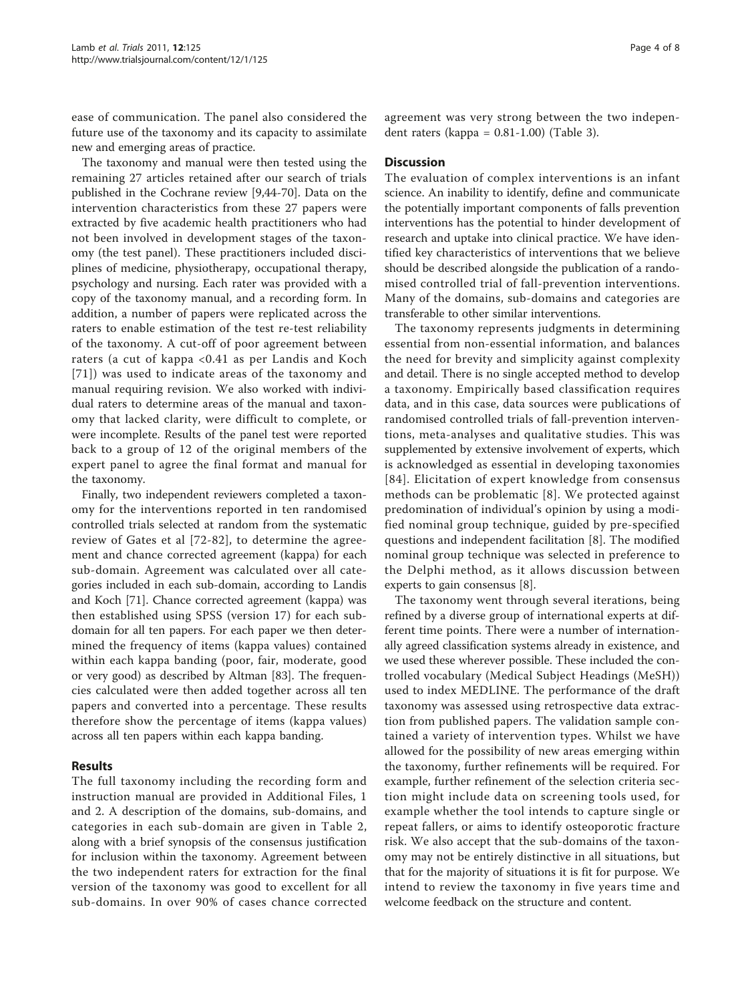ease of communication. The panel also considered the future use of the taxonomy and its capacity to assimilate new and emerging areas of practice.

The taxonomy and manual were then tested using the remaining 27 articles retained after our search of trials published in the Cochrane review [[9](#page-5-0),[44](#page-6-0)-[70\]](#page-6-0). Data on the intervention characteristics from these 27 papers were extracted by five academic health practitioners who had not been involved in development stages of the taxonomy (the test panel). These practitioners included disciplines of medicine, physiotherapy, occupational therapy, psychology and nursing. Each rater was provided with a copy of the taxonomy manual, and a recording form. In addition, a number of papers were replicated across the raters to enable estimation of the test re-test reliability of the taxonomy. A cut-off of poor agreement between raters (a cut of kappa <0.41 as per Landis and Koch [[71](#page-6-0)]) was used to indicate areas of the taxonomy and manual requiring revision. We also worked with individual raters to determine areas of the manual and taxonomy that lacked clarity, were difficult to complete, or were incomplete. Results of the panel test were reported back to a group of 12 of the original members of the expert panel to agree the final format and manual for the taxonomy.

Finally, two independent reviewers completed a taxonomy for the interventions reported in ten randomised controlled trials selected at random from the systematic review of Gates et al [[72](#page-6-0)-[82](#page-7-0)], to determine the agreement and chance corrected agreement (kappa) for each sub-domain. Agreement was calculated over all categories included in each sub-domain, according to Landis and Koch [[71](#page-6-0)]. Chance corrected agreement (kappa) was then established using SPSS (version 17) for each subdomain for all ten papers. For each paper we then determined the frequency of items (kappa values) contained within each kappa banding (poor, fair, moderate, good or very good) as described by Altman [\[83\]](#page-7-0). The frequencies calculated were then added together across all ten papers and converted into a percentage. These results therefore show the percentage of items (kappa values) across all ten papers within each kappa banding.

# Results

The full taxonomy including the recording form and instruction manual are provided in Additional Files, [1](#page-4-0) and [2](#page-4-0). A description of the domains, sub-domains, and categories in each sub-domain are given in Table [2](#page-4-0), along with a brief synopsis of the consensus justification for inclusion within the taxonomy. Agreement between the two independent raters for extraction for the final version of the taxonomy was good to excellent for all sub-domains. In over 90% of cases chance corrected agreement was very strong between the two independent raters (kappa =  $0.81-1.00$ ) (Table [3](#page-4-0)).

# **Discussion**

The evaluation of complex interventions is an infant science. An inability to identify, define and communicate the potentially important components of falls prevention interventions has the potential to hinder development of research and uptake into clinical practice. We have identified key characteristics of interventions that we believe should be described alongside the publication of a randomised controlled trial of fall-prevention interventions. Many of the domains, sub-domains and categories are transferable to other similar interventions.

The taxonomy represents judgments in determining essential from non-essential information, and balances the need for brevity and simplicity against complexity and detail. There is no single accepted method to develop a taxonomy. Empirically based classification requires data, and in this case, data sources were publications of randomised controlled trials of fall-prevention interventions, meta-analyses and qualitative studies. This was supplemented by extensive involvement of experts, which is acknowledged as essential in developing taxonomies [[84\]](#page-7-0). Elicitation of expert knowledge from consensus methods can be problematic [[8](#page-5-0)]. We protected against predomination of individual's opinion by using a modified nominal group technique, guided by pre-specified questions and independent facilitation [\[8](#page-5-0)]. The modified nominal group technique was selected in preference to the Delphi method, as it allows discussion between experts to gain consensus [\[8](#page-5-0)].

The taxonomy went through several iterations, being refined by a diverse group of international experts at different time points. There were a number of internationally agreed classification systems already in existence, and we used these wherever possible. These included the controlled vocabulary (Medical Subject Headings (MeSH)) used to index MEDLINE. The performance of the draft taxonomy was assessed using retrospective data extraction from published papers. The validation sample contained a variety of intervention types. Whilst we have allowed for the possibility of new areas emerging within the taxonomy, further refinements will be required. For example, further refinement of the selection criteria section might include data on screening tools used, for example whether the tool intends to capture single or repeat fallers, or aims to identify osteoporotic fracture risk. We also accept that the sub-domains of the taxonomy may not be entirely distinctive in all situations, but that for the majority of situations it is fit for purpose. We intend to review the taxonomy in five years time and welcome feedback on the structure and content.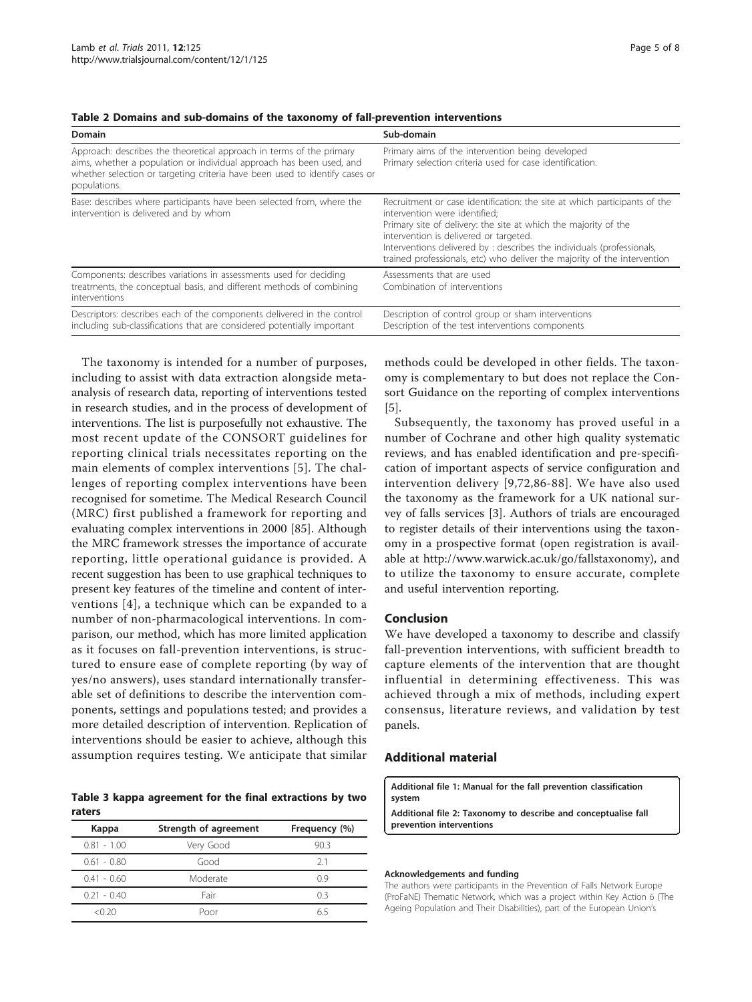<span id="page-4-0"></span>

| Table 2 Domains and sub-domains of the taxonomy of fall-prevention interventions |  |  |  |  |
|----------------------------------------------------------------------------------|--|--|--|--|
|----------------------------------------------------------------------------------|--|--|--|--|

| Domain                                                                                                                                                                                                                                      | Sub-domain                                                                                                                                                                                                                                                                                                                                                                    |
|---------------------------------------------------------------------------------------------------------------------------------------------------------------------------------------------------------------------------------------------|-------------------------------------------------------------------------------------------------------------------------------------------------------------------------------------------------------------------------------------------------------------------------------------------------------------------------------------------------------------------------------|
| Approach: describes the theoretical approach in terms of the primary<br>aims, whether a population or individual approach has been used, and<br>whether selection or targeting criteria have been used to identify cases or<br>populations. | Primary aims of the intervention being developed<br>Primary selection criteria used for case identification.                                                                                                                                                                                                                                                                  |
| Base: describes where participants have been selected from, where the<br>intervention is delivered and by whom                                                                                                                              | Recruitment or case identification: the site at which participants of the<br>intervention were identified;<br>Primary site of delivery: the site at which the majority of the<br>intervention is delivered or targeted.<br>Interventions delivered by : describes the individuals (professionals,<br>trained professionals, etc) who deliver the majority of the intervention |
| Components: describes variations in assessments used for deciding<br>treatments, the conceptual basis, and different methods of combining<br>interventions                                                                                  | Assessments that are used<br>Combination of interventions                                                                                                                                                                                                                                                                                                                     |
| Descriptors: describes each of the components delivered in the control<br>including sub-classifications that are considered potentially important                                                                                           | Description of control group or sham interventions<br>Description of the test interventions components                                                                                                                                                                                                                                                                        |

The taxonomy is intended for a number of purposes, including to assist with data extraction alongside metaanalysis of research data, reporting of interventions tested in research studies, and in the process of development of interventions. The list is purposefully not exhaustive. The most recent update of the CONSORT guidelines for reporting clinical trials necessitates reporting on the main elements of complex interventions [[5\]](#page-5-0). The challenges of reporting complex interventions have been recognised for sometime. The Medical Research Council (MRC) first published a framework for reporting and evaluating complex interventions in 2000 [[85](#page-7-0)]. Although the MRC framework stresses the importance of accurate reporting, little operational guidance is provided. A recent suggestion has been to use graphical techniques to present key features of the timeline and content of interventions [[4\]](#page-5-0), a technique which can be expanded to a number of non-pharmacological interventions. In comparison, our method, which has more limited application as it focuses on fall-prevention interventions, is structured to ensure ease of complete reporting (by way of yes/no answers), uses standard internationally transferable set of definitions to describe the intervention components, settings and populations tested; and provides a more detailed description of intervention. Replication of interventions should be easier to achieve, although this assumption requires testing. We anticipate that similar

Table 3 kappa agreement for the final extractions by two raters

| Kappa         | Strength of agreement | Frequency (%) |
|---------------|-----------------------|---------------|
| $0.81 - 1.00$ | Very Good             | 903           |
| $0.61 - 0.80$ | Good                  | 21            |
| $0.41 - 0.60$ | Moderate              | 09            |
| $0.21 - 0.40$ | Fair                  | 03            |
|               | Poor                  | 65            |

methods could be developed in other fields. The taxonomy is complementary to but does not replace the Consort Guidance on the reporting of complex interventions [[5\]](#page-5-0).

Subsequently, the taxonomy has proved useful in a number of Cochrane and other high quality systematic reviews, and has enabled identification and pre-specification of important aspects of service configuration and intervention delivery [\[9,](#page-5-0)[72](#page-6-0),[86](#page-7-0)-[88](#page-7-0)]. We have also used the taxonomy as the framework for a UK national survey of falls services [\[3](#page-5-0)]. Authors of trials are encouraged to register details of their interventions using the taxonomy in a prospective format (open registration is available at [http://www.warwick.ac.uk/go/fallstaxonomy\)](http://www.warwick.ac.uk/go/fallstaxonomy), and to utilize the taxonomy to ensure accurate, complete and useful intervention reporting.

# Conclusion

We have developed a taxonomy to describe and classify fall-prevention interventions, with sufficient breadth to capture elements of the intervention that are thought influential in determining effectiveness. This was achieved through a mix of methods, including expert consensus, literature reviews, and validation by test panels.

#### Additional material

[Additional file 1: M](http://www.biomedcentral.com/content/supplementary/1745-6215-12-125-S1.DOC)anual for the fall prevention classification system

[Additional file 2: T](http://www.biomedcentral.com/content/supplementary/1745-6215-12-125-S2.PDF)axonomy to describe and conceptualise fall prevention interventions

#### Acknowledgements and funding

The authors were participants in the Prevention of Falls Network Europe (ProFaNE) Thematic Network, which was a project within Key Action 6 (The Ageing Population and Their Disabilities), part of the European Union's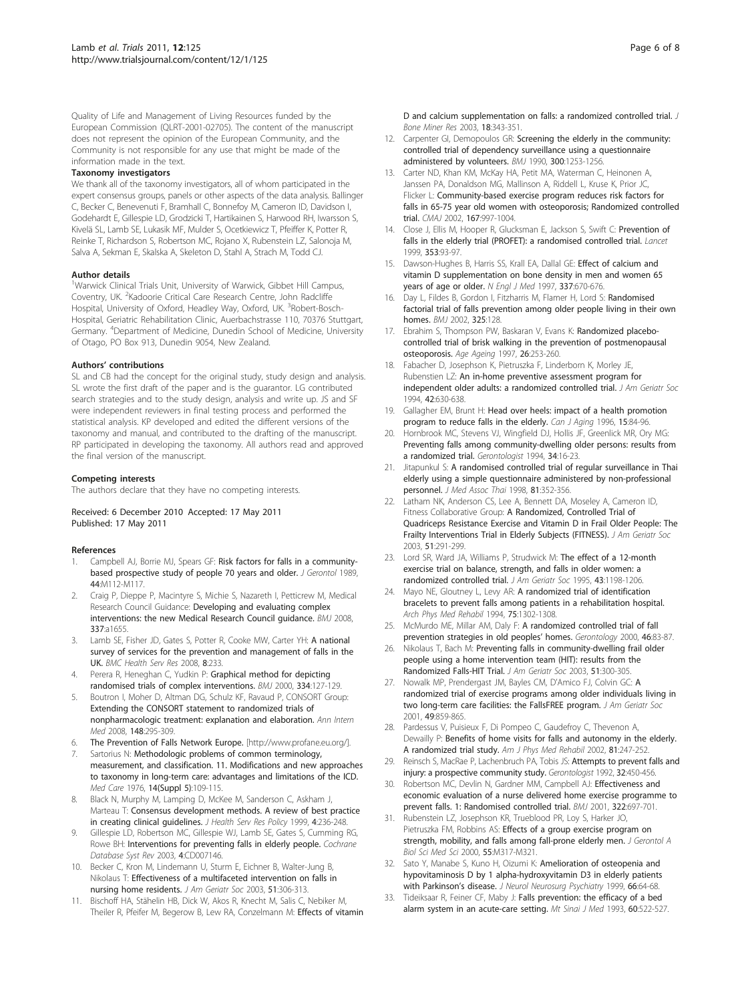<span id="page-5-0"></span>Quality of Life and Management of Living Resources funded by the European Commission (QLRT-2001-02705). The content of the manuscript does not represent the opinion of the European Community, and the Community is not responsible for any use that might be made of the information made in the text.

#### Taxonomy investigators

We thank all of the taxonomy investigators, all of whom participated in the expert consensus groups, panels or other aspects of the data analysis. Ballinger C, Becker C, Benevenuti F, Bramhall C, Bonnefoy M, Cameron ID, Davidson I, Godehardt E, Gillespie LD, Grodzicki T, Hartikainen S, Harwood RH, Iwarsson S, Kivelä SL, Lamb SE, Lukasik MF, Mulder S, Ocetkiewicz T, Pfeiffer K, Potter R, Reinke T, Richardson S, Robertson MC, Rojano X, Rubenstein LZ, Salonoja M, Salva A, Sekman E, Skalska A, Skeleton D, Stahl A, Strach M, Todd CJ.

#### Author details

<sup>1</sup>Warwick Clinical Trials Unit, University of Warwick, Gibbet Hill Campus, Coventry, UK. <sup>2</sup>Kadoorie Critical Care Research Centre, John Radcliffe Hospital, University of Oxford, Headley Way, Oxford, UK. <sup>3</sup>Robert-Bosch-Hospital, Geriatric Rehabilitation Clinic, Auerbachstrasse 110, 70376 Stuttgart, Germany. <sup>4</sup>Department of Medicine, Dunedin School of Medicine, University of Otago, PO Box 913, Dunedin 9054, New Zealand.

#### Authors' contributions

SL and CB had the concept for the original study, study design and analysis. SL wrote the first draft of the paper and is the guarantor. LG contributed search strategies and to the study design, analysis and write up. JS and SF were independent reviewers in final testing process and performed the statistical analysis. KP developed and edited the different versions of the taxonomy and manual, and contributed to the drafting of the manuscript. RP participated in developing the taxonomy. All authors read and approved the final version of the manuscript.

#### Competing interests

The authors declare that they have no competing interests.

#### Received: 6 December 2010 Accepted: 17 May 2011 Published: 17 May 2011

#### References

- 1. Campbell AJ, Borrie MJ, Spears GF: [Risk factors for falls in a community](http://www.ncbi.nlm.nih.gov/pubmed/2738307?dopt=Abstract)[based prospective study of people 70 years and older.](http://www.ncbi.nlm.nih.gov/pubmed/2738307?dopt=Abstract) J Gerontol 1989, 44:M112-M117.
- 2. Craig P, Dieppe P, Macintyre S, Michie S, Nazareth I, Petticrew M, Medical Research Council Guidance: [Developing and evaluating complex](http://www.ncbi.nlm.nih.gov/pubmed/18824488?dopt=Abstract) [interventions: the new Medical Research Council guidance.](http://www.ncbi.nlm.nih.gov/pubmed/18824488?dopt=Abstract) BMJ 2008, 337:a1655.
- 3. Lamb SE, Fisher JD, Gates S, Potter R, Cooke MW, Carter YH: [A national](http://www.ncbi.nlm.nih.gov/pubmed/19014488?dopt=Abstract) [survey of services for the prevention and management of falls in the](http://www.ncbi.nlm.nih.gov/pubmed/19014488?dopt=Abstract) [UK.](http://www.ncbi.nlm.nih.gov/pubmed/19014488?dopt=Abstract) BMC Health Serv Res 2008, 8:233
- Perera R, Heneghan C, Yudkin P: Graphical method for depicting randomised trials of complex interventions. BMJ 2000, 334:127-129.
- 5. Boutron I, Moher D, Altman DG, Schulz KF, Ravaud P, CONSORT Group: [Extending the CONSORT statement to randomized trials of](http://www.ncbi.nlm.nih.gov/pubmed/18283207?dopt=Abstract) [nonpharmacologic treatment: explanation and elaboration.](http://www.ncbi.nlm.nih.gov/pubmed/18283207?dopt=Abstract) Ann Intern Med 2008, 148:295-309.
- 6. The Prevention of Falls Network Europe. [\[http://www.profane.eu.org/\]](http://www.profane.eu.org/). 7. Sartorius N: [Methodologic problems of common terminology,](http://www.ncbi.nlm.nih.gov/pubmed/819728?dopt=Abstract)
- [measurement, and classification. 11. Modifications and new approaches](http://www.ncbi.nlm.nih.gov/pubmed/819728?dopt=Abstract) [to taxonomy in long-term care: advantages and limitations of the ICD.](http://www.ncbi.nlm.nih.gov/pubmed/819728?dopt=Abstract) Med Care 1976, 14(Suppl 5):109-115.
- 8. Black N, Murphy M, Lamping D, McKee M, Sanderson C, Askham J, Marteau T: [Consensus development methods. A review of best practice](http://www.ncbi.nlm.nih.gov/pubmed/10623041?dopt=Abstract) [in creating clinical guidelines.](http://www.ncbi.nlm.nih.gov/pubmed/10623041?dopt=Abstract) J Health Serv Res Policy 1999, 4:236-248.
- 9. Gillespie LD, Robertson MC, Gillespie WJ, Lamb SE, Gates S, Cumming RG, Rowe BH: Interventions for preventing falls in elderly people. Cochrane Database Syst Rev 2003, 4:CD007146.
- 10. Becker C, Kron M, Lindemann U, Sturm E, Eichner B, Walter-Jung B, Nikolaus T: [Effectiveness of a multifaceted intervention on falls in](http://www.ncbi.nlm.nih.gov/pubmed/12588573?dopt=Abstract) [nursing home residents.](http://www.ncbi.nlm.nih.gov/pubmed/12588573?dopt=Abstract) J Am Geriatr Soc 2003, 51:306-313.
- 11. Bischoff HA, Stähelin HB, Dick W, Akos R, Knecht M, Salis C, Nebiker M, Theiler R, Pfeifer M, Begerow B, Lew RA, Conzelmann M: [Effects of vitamin](http://www.ncbi.nlm.nih.gov/pubmed/12568412?dopt=Abstract)

[D and calcium supplementation on falls: a randomized controlled trial.](http://www.ncbi.nlm.nih.gov/pubmed/12568412?dopt=Abstract) J Bone Miner Res 2003, 18:343-351.

- 12. Carpenter GI, Demopoulos GR: [Screening the elderly in the community:](http://www.ncbi.nlm.nih.gov/pubmed/2354297?dopt=Abstract) [controlled trial of dependency surveillance using a questionnaire](http://www.ncbi.nlm.nih.gov/pubmed/2354297?dopt=Abstract) [administered by volunteers.](http://www.ncbi.nlm.nih.gov/pubmed/2354297?dopt=Abstract) BMJ 1990, 300:1253-1256.
- 13. Carter ND, Khan KM, McKay HA, Petit MA, Waterman C, Heinonen A, Janssen PA, Donaldson MG, Mallinson A, Riddell L, Kruse K, Prior JC, Flicker L: [Community-based exercise program reduces risk factors for](http://www.ncbi.nlm.nih.gov/pubmed/12403738?dopt=Abstract) [falls in 65-75 year old women with osteoporosis; Randomized controlled](http://www.ncbi.nlm.nih.gov/pubmed/12403738?dopt=Abstract) [trial.](http://www.ncbi.nlm.nih.gov/pubmed/12403738?dopt=Abstract) CMAJ 2002, 167:997-1004.
- 14. Close J, Ellis M, Hooper R, Glucksman E, Jackson S, Swift C: [Prevention of](http://www.ncbi.nlm.nih.gov/pubmed/10023893?dopt=Abstract) [falls in the elderly trial \(PROFET\): a randomised controlled trial.](http://www.ncbi.nlm.nih.gov/pubmed/10023893?dopt=Abstract) Lancet 1999, 353:93-97.
- 15. Dawson-Hughes B, Harris SS, Krall EA, Dallal GE: Effect [of calcium and](http://www.ncbi.nlm.nih.gov/pubmed/9278463?dopt=Abstract) [vitamin D supplementation on bone density in men and women 65](http://www.ncbi.nlm.nih.gov/pubmed/9278463?dopt=Abstract) [years of age or older.](http://www.ncbi.nlm.nih.gov/pubmed/9278463?dopt=Abstract) N Engl J Med 1997, 337:670-676.
- 16. Day L, Fildes B, Gordon I, Fitzharris M, Flamer H, Lord S: [Randomised](http://www.ncbi.nlm.nih.gov/pubmed/12130606?dopt=Abstract) [factorial trial of falls prevention among older people living in their own](http://www.ncbi.nlm.nih.gov/pubmed/12130606?dopt=Abstract) [homes.](http://www.ncbi.nlm.nih.gov/pubmed/12130606?dopt=Abstract) BMJ 2002, 325:128.
- 17. Ebrahim S, Thompson PW, Baskaran V, Evans K: [Randomized placebo](http://www.ncbi.nlm.nih.gov/pubmed/9271287?dopt=Abstract)[controlled trial of brisk walking in the prevention of postmenopausal](http://www.ncbi.nlm.nih.gov/pubmed/9271287?dopt=Abstract) [osteoporosis.](http://www.ncbi.nlm.nih.gov/pubmed/9271287?dopt=Abstract) Age Ageing 1997, 26:253-260.
- 18. Fabacher D, Josephson K, Pietruszka F, Linderborn K, Morley JE, Rubenstien LZ: [An in-home preventive assessment program for](http://www.ncbi.nlm.nih.gov/pubmed/8201149?dopt=Abstract) [independent older adults: a randomized controlled trial.](http://www.ncbi.nlm.nih.gov/pubmed/8201149?dopt=Abstract) J Am Geriatr Soc 1994, 42:630-638.
- 19. Gallagher EM, Brunt H: Head over heels: impact of a health promotion program to reduce falls in the elderly. Can J Aging 1996, 15:84-96.
- 20. Hornbrook MC, Stevens VJ, Wingfield DJ, Hollis JF, Greenlick MR, Ory MG: [Preventing falls among community-dwelling older persons: results from](http://www.ncbi.nlm.nih.gov/pubmed/8150304?dopt=Abstract) [a randomized trial.](http://www.ncbi.nlm.nih.gov/pubmed/8150304?dopt=Abstract) Gerontologist 1994, 34:16-23.
- 21. Jitapunkul S: [A randomised controlled trial of regular surveillance in Thai](http://www.ncbi.nlm.nih.gov/pubmed/9623035?dopt=Abstract) [elderly using a simple questionnaire administered by non-professional](http://www.ncbi.nlm.nih.gov/pubmed/9623035?dopt=Abstract) [personnel.](http://www.ncbi.nlm.nih.gov/pubmed/9623035?dopt=Abstract) J Med Assoc Thai 1998, 81:352-356.
- Latham NK, Anderson CS, Lee A, Bennett DA, Moseley A, Cameron ID, Fitness Collaborative Group: [A Randomized, Controlled Trial of](http://www.ncbi.nlm.nih.gov/pubmed/12588571?dopt=Abstract) [Quadriceps Resistance Exercise and Vitamin D in Frail Older People: The](http://www.ncbi.nlm.nih.gov/pubmed/12588571?dopt=Abstract) [Frailty Interventions Trial in Elderly Subjects \(FITNESS\).](http://www.ncbi.nlm.nih.gov/pubmed/12588571?dopt=Abstract) J Am Geriatr Soc 2003, 51:291-299.
- 23. Lord SR, Ward JA, Williams P, Strudwick M: [The effect of a 12-month](http://www.ncbi.nlm.nih.gov/pubmed/7594152?dopt=Abstract) [exercise trial on balance, strength, and falls in older women: a](http://www.ncbi.nlm.nih.gov/pubmed/7594152?dopt=Abstract) [randomized controlled trial.](http://www.ncbi.nlm.nih.gov/pubmed/7594152?dopt=Abstract) J Am Geriatr Soc 1995, 43:1198-1206.
- 24. Mayo NE, Gloutney L, Levy AR: [A randomized trial of identification](http://www.ncbi.nlm.nih.gov/pubmed/7993168?dopt=Abstract) [bracelets to prevent falls among patients in a rehabilitation hospital.](http://www.ncbi.nlm.nih.gov/pubmed/7993168?dopt=Abstract) Arch Phys Med Rehabil 1994, 75:1302-1308.
- 25. McMurdo ME, Millar AM, Daly F: [A randomized controlled trial of fall](http://www.ncbi.nlm.nih.gov/pubmed/10671804?dopt=Abstract) [prevention strategies in old peoples](http://www.ncbi.nlm.nih.gov/pubmed/10671804?dopt=Abstract)' homes. Gerontology 2000, 46:83-87.
- 26. Nikolaus T, Bach M: [Preventing falls in community-dwelling frail older](http://www.ncbi.nlm.nih.gov/pubmed/12588572?dopt=Abstract) [people using a home intervention team \(HIT\): results from the](http://www.ncbi.nlm.nih.gov/pubmed/12588572?dopt=Abstract) [Randomized Falls-HIT Trial.](http://www.ncbi.nlm.nih.gov/pubmed/12588572?dopt=Abstract) J Am Geriatr Soc 2003, 51:300-305.
- 27. Nowalk MP, Prendergast JM, Bayles CM, D'Amico FJ, Colvin GC: [A](http://www.ncbi.nlm.nih.gov/pubmed/11527475?dopt=Abstract) [randomized trial of exercise programs among older individuals living in](http://www.ncbi.nlm.nih.gov/pubmed/11527475?dopt=Abstract) [two long-term care facilities: the FallsFREE program.](http://www.ncbi.nlm.nih.gov/pubmed/11527475?dopt=Abstract) J Am Geriatr Soc 2001, 49:859-865.
- 28. Pardessus V, Puisieux F, Di Pompeo C, Gaudefroy C, Thevenon A, Dewailly P: [Benefits of home visits for falls and autonomy in the elderly.](http://www.ncbi.nlm.nih.gov/pubmed/11953541?dopt=Abstract) A [randomized trial study.](http://www.ncbi.nlm.nih.gov/pubmed/11953541?dopt=Abstract) Am J Phys Med Rehabil 2002, 81:247-252.
- 29. Reinsch S, MacRae P, Lachenbruch PA, Tobis JS: [Attempts to prevent falls and](http://www.ncbi.nlm.nih.gov/pubmed/1427246?dopt=Abstract) [injury: a prospective community study.](http://www.ncbi.nlm.nih.gov/pubmed/1427246?dopt=Abstract) Gerontologist 1992, 32:450-456.
- 30. Robertson MC, Devlin N, Gardner MM, Campbell AJ: [Effectiveness and](http://www.ncbi.nlm.nih.gov/pubmed/11264206?dopt=Abstract) [economic evaluation of a nurse delivered home exercise programme to](http://www.ncbi.nlm.nih.gov/pubmed/11264206?dopt=Abstract) [prevent falls. 1: Randomised controlled trial.](http://www.ncbi.nlm.nih.gov/pubmed/11264206?dopt=Abstract) BMJ 2001, 322:697-701.
- 31. Rubenstein LZ, Josephson KR, Trueblood PR, Loy S, Harker JO, Pietruszka FM, Robbins AS: [Effects of a group exercise program on](http://www.ncbi.nlm.nih.gov/pubmed/10843351?dopt=Abstract) [strength, mobility, and falls among fall-prone elderly men.](http://www.ncbi.nlm.nih.gov/pubmed/10843351?dopt=Abstract) J Gerontol A Biol Sci Med Sci 2000, 55:M317-M321.
- 32. Sato Y, Manabe S, Kuno H, Oizumi K: [Amelioration of osteopenia and](http://www.ncbi.nlm.nih.gov/pubmed/9886454?dopt=Abstract) [hypovitaminosis D by 1 alpha-hydroxyvitamin D3 in elderly patients](http://www.ncbi.nlm.nih.gov/pubmed/9886454?dopt=Abstract) [with Parkinson](http://www.ncbi.nlm.nih.gov/pubmed/9886454?dopt=Abstract)'s disease. J Neurol Neurosurg Psychiatry 1999, 66:64-68.
- 33. Tideiksaar R, Feiner CF, Maby J: [Falls prevention: the efficacy of a bed](http://www.ncbi.nlm.nih.gov/pubmed/8121429?dopt=Abstract) [alarm system in an acute-care setting.](http://www.ncbi.nlm.nih.gov/pubmed/8121429?dopt=Abstract) Mt Sinai J Med 1993, 60:522-527.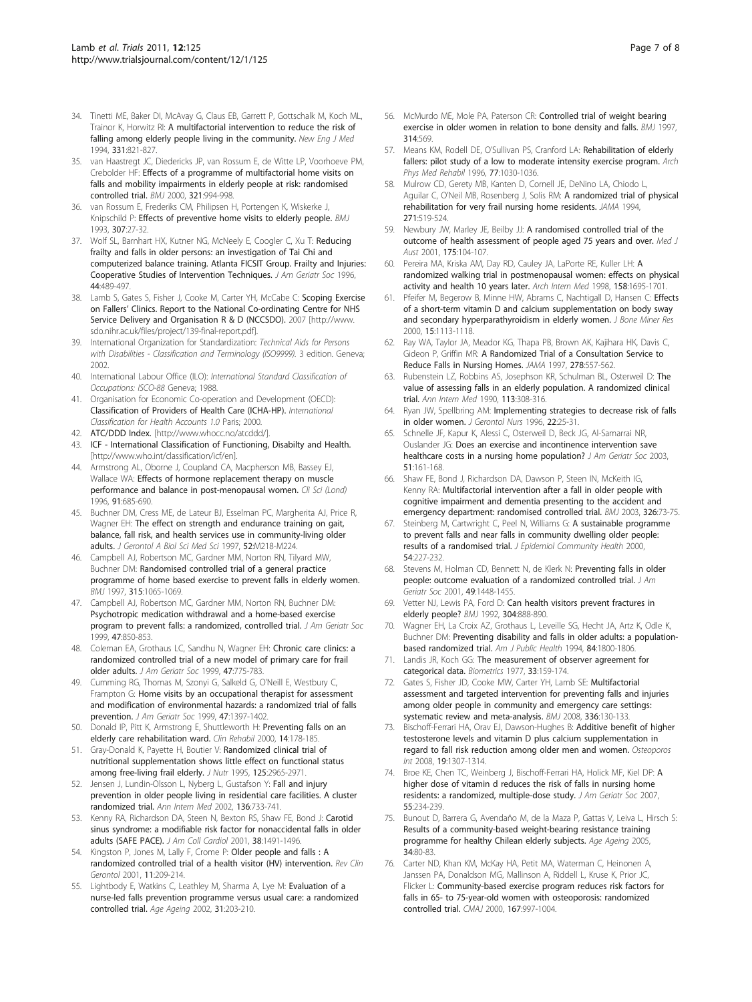- <span id="page-6-0"></span>34. Tinetti ME, Baker DI, McAvay G, Claus EB, Garrett P, Gottschalk M, Koch ML, Trainor K, Horwitz RI: [A multifactorial intervention to reduce the risk of](http://www.ncbi.nlm.nih.gov/pubmed/8078528?dopt=Abstract) [falling among elderly people living in the community.](http://www.ncbi.nlm.nih.gov/pubmed/8078528?dopt=Abstract) New Eng J Med 1994, 331:821-827.
- 35. van Haastregt JC, Diedericks JP, van Rossum E, de Witte LP, Voorhoeve PM, Crebolder HF: [Effects of a programme of multifactorial home visits on](http://www.ncbi.nlm.nih.gov/pubmed/11039967?dopt=Abstract) [falls and mobility impairments in elderly people at risk: randomised](http://www.ncbi.nlm.nih.gov/pubmed/11039967?dopt=Abstract) [controlled trial.](http://www.ncbi.nlm.nih.gov/pubmed/11039967?dopt=Abstract) BMJ 2000, 321:994-998.
- 36. van Rossum E, Frederiks CM, Philipsen H, Portengen K, Wiskerke J, Knipschild P: [Effects of preventive home visits to elderly people.](http://www.ncbi.nlm.nih.gov/pubmed/8343668?dopt=Abstract) BMJ 1993, 307:27-32.
- 37. Wolf SL, Barnhart HX, Kutner NG, McNeely E, Coogler C, Xu T: [Reducing](http://www.ncbi.nlm.nih.gov/pubmed/8617895?dopt=Abstract) [frailty and falls in older persons: an investigation of Tai Chi and](http://www.ncbi.nlm.nih.gov/pubmed/8617895?dopt=Abstract) [computerized balance training. Atlanta FICSIT Group. Frailty and Injuries:](http://www.ncbi.nlm.nih.gov/pubmed/8617895?dopt=Abstract) [Cooperative Studies of Intervention Techniques.](http://www.ncbi.nlm.nih.gov/pubmed/8617895?dopt=Abstract) J Am Geriatr Soc 1996, 44:489-497.
- 38. Lamb S, Gates S, Fisher J, Cooke M, Carter YH, McCabe C: Scoping Exercise on Fallers' Clinics. Report to the National Co-ordinating Centre for NHS Service Delivery and Organisation R & D (NCCSDO). 2007 [[http://www.](http://www.sdo.nihr.ac.uk/files/project/139-final-report.pdf) [sdo.nihr.ac.uk/files/project/139-final-report.pdf](http://www.sdo.nihr.ac.uk/files/project/139-final-report.pdf)].
- 39. International Organization for Standardization: Technical Aids for Persons with Disabilities - Classification and Terminology (ISO9999). 3 edition. Geneva; 2002.
- 40. International Labour Office (ILO): International Standard Classification of Occupations: ISCO-88 Geneva; 1988.
- 41. Organisation for Economic Co-operation and Development (OECD): Classification of Providers of Health Care (ICHA-HP). International Classification for Health Accounts 1.0 Paris; 2000.
- 42. ATC/DDD Index. [\[http://www.whocc.no/atcddd/\]](http://www.whocc.no/atcddd/).
- 43. ICF International Classification of Functioning, Disabilty and Health. [\[http://www.who.int/classification/icf/en](http://www.who.int/classification/icf/en)].
- 44. Armstrong AL, Oborne J, Coupland CA, Macpherson MB, Bassey EJ, Wallace WA: Effects of hormone replacement therapy on muscle performance and balance in post-menopausal women. Cli Sci (Lond) 1996, 91:685-690.
- 45. Buchner DM, Cress ME, de Lateur BJ, Esselman PC, Margherita AJ, Price R, Wagner EH: [The effect on strength and endurance training on gait,](http://www.ncbi.nlm.nih.gov/pubmed/9224433?dopt=Abstract) [balance, fall risk, and health services use in community-living older](http://www.ncbi.nlm.nih.gov/pubmed/9224433?dopt=Abstract) [adults.](http://www.ncbi.nlm.nih.gov/pubmed/9224433?dopt=Abstract) J Gerontol A Biol Sci Med Sci 1997, 52:M218-M224.
- 46. Campbell AJ, Robertson MC, Gardner MM, Norton RN, Tilyard MW, Buchner DM: [Randomised controlled trial of a general practice](http://www.ncbi.nlm.nih.gov/pubmed/9366737?dopt=Abstract) [programme of home based exercise to prevent falls in elderly women.](http://www.ncbi.nlm.nih.gov/pubmed/9366737?dopt=Abstract) BMJ 1997, 315:1065-1069.
- 47. Campbell AJ, Robertson MC, Gardner MM, Norton RN, Buchner DM: [Psychotropic medication withdrawal and a home-based exercise](http://www.ncbi.nlm.nih.gov/pubmed/10404930?dopt=Abstract) [program to prevent falls: a randomized, controlled trial.](http://www.ncbi.nlm.nih.gov/pubmed/10404930?dopt=Abstract) J Am Geriatr Soc 1999, 47:850-853.
- 48. Coleman EA, Grothaus LC, Sandhu N, Wagner EH: [Chronic care clinics: a](http://www.ncbi.nlm.nih.gov/pubmed/10404919?dopt=Abstract) [randomized controlled trial of a new model of primary care for frail](http://www.ncbi.nlm.nih.gov/pubmed/10404919?dopt=Abstract) [older adults.](http://www.ncbi.nlm.nih.gov/pubmed/10404919?dopt=Abstract) J Am Geriatr Soc 1999, 47:775-783.
- 49. Cumming RG, Thomas M, Szonyi G, Salkeld G, O'Neill E, Westbury C, Frampton G: [Home visits by an occupational therapist for assessment](http://www.ncbi.nlm.nih.gov/pubmed/10591231?dopt=Abstract) [and modification of environmental hazards: a randomized trial of falls](http://www.ncbi.nlm.nih.gov/pubmed/10591231?dopt=Abstract) [prevention.](http://www.ncbi.nlm.nih.gov/pubmed/10591231?dopt=Abstract) J Am Geriatr Soc 1999, 47:1397-1402.
- 50. Donald IP, Pitt K, Armstrong E, Shuttleworth H: [Preventing falls on an](http://www.ncbi.nlm.nih.gov/pubmed/10763795?dopt=Abstract) [elderly care rehabilitation ward.](http://www.ncbi.nlm.nih.gov/pubmed/10763795?dopt=Abstract) Clin Rehabil 2000, 14:178-185.
- 51. Gray-Donald K, Payette H, Boutier V: [Randomized clinical trial of](http://www.ncbi.nlm.nih.gov/pubmed/7500174?dopt=Abstract) [nutritional supplementation shows little effect on functional status](http://www.ncbi.nlm.nih.gov/pubmed/7500174?dopt=Abstract) [among free-living frail elderly.](http://www.ncbi.nlm.nih.gov/pubmed/7500174?dopt=Abstract) J Nutr 1995, 125:2965-2971.
- 52. Jensen J, Lundin-Olsson L, Nyberg L, Gustafson Y: [Fall and injury](http://www.ncbi.nlm.nih.gov/pubmed/12020141?dopt=Abstract) [prevention in older people living in residential care facilities. A cluster](http://www.ncbi.nlm.nih.gov/pubmed/12020141?dopt=Abstract) [randomized trial.](http://www.ncbi.nlm.nih.gov/pubmed/12020141?dopt=Abstract) Ann Intern Med 2002, 136:733-741.
- 53. Kenny RA, Richardson DA, Steen N, Bexton RS, Shaw FE, Bond J: [Carotid](http://www.ncbi.nlm.nih.gov/pubmed/11691528?dopt=Abstract) [sinus syndrome: a modifiable risk factor for nonaccidental falls in older](http://www.ncbi.nlm.nih.gov/pubmed/11691528?dopt=Abstract) [adults \(SAFE PACE\).](http://www.ncbi.nlm.nih.gov/pubmed/11691528?dopt=Abstract) J Am Coll Cardiol 2001, 38:1491-1496.
- 54. Kingston P, Jones M, Lally F, Crome P: Older people and falls : A randomized controlled trial of a health visitor (HV) intervention. Rev Clin Gerontol 2001, 11:209-214.
- 55. Lightbody E, Watkins C, Leathley M, Sharma A, Lye M: [Evaluation of a](http://www.ncbi.nlm.nih.gov/pubmed/12006310?dopt=Abstract) [nurse-led falls prevention programme versus usual care: a randomized](http://www.ncbi.nlm.nih.gov/pubmed/12006310?dopt=Abstract) [controlled trial.](http://www.ncbi.nlm.nih.gov/pubmed/12006310?dopt=Abstract) Age Ageing 2002, 31:203-210.
- 56. McMurdo ME, Mole PA, Paterson CR: [Controlled trial of weight bearing](http://www.ncbi.nlm.nih.gov/pubmed/9055716?dopt=Abstract) [exercise in older women in relation to bone density and falls.](http://www.ncbi.nlm.nih.gov/pubmed/9055716?dopt=Abstract) BMJ 1997, 314:569.
- 57. Means KM, Rodell DE, O'Sullivan PS, Cranford LA: [Rehabilitation of elderly](http://www.ncbi.nlm.nih.gov/pubmed/8857882?dopt=Abstract) [fallers: pilot study of a low to moderate intensity exercise program.](http://www.ncbi.nlm.nih.gov/pubmed/8857882?dopt=Abstract) Arch Phys Med Rehabil 1996, 77:1030-1036.
- 58. Mulrow CD, Gerety MB, Kanten D, Cornell JE, DeNino LA, Chiodo L, Aguilar C, O'Neil MB, Rosenberg J, Solis RM: [A randomized trial of physical](http://www.ncbi.nlm.nih.gov/pubmed/8301766?dopt=Abstract) [rehabilitation for very frail nursing home residents.](http://www.ncbi.nlm.nih.gov/pubmed/8301766?dopt=Abstract) JAMA 1994, 271:519-524.
- 59. Newbury JW, Marley JE, Beilby JJ: [A randomised controlled trial of the](http://www.ncbi.nlm.nih.gov/pubmed/11556409?dopt=Abstract) [outcome of health assessment of people aged 75 years and over.](http://www.ncbi.nlm.nih.gov/pubmed/11556409?dopt=Abstract) Med J Aust 2001, 175:104-107.
- 60. Pereira MA, Kriska AM, Day RD, Cauley JA, LaPorte RE, Kuller LH: [A](http://www.ncbi.nlm.nih.gov/pubmed/9701104?dopt=Abstract) [randomized walking trial in postmenopausal women: effects on physical](http://www.ncbi.nlm.nih.gov/pubmed/9701104?dopt=Abstract) [activity and health 10 years later.](http://www.ncbi.nlm.nih.gov/pubmed/9701104?dopt=Abstract) Arch Intern Med 1998, 158:1695-1701.
- 61. Pfeifer M, Begerow B, Minne HW, Abrams C, Nachtigall D, Hansen C: [Effects](http://www.ncbi.nlm.nih.gov/pubmed/10841179?dopt=Abstract) [of a short-term vitamin D and calcium supplementation on body sway](http://www.ncbi.nlm.nih.gov/pubmed/10841179?dopt=Abstract) [and secondary hyperparathyroidism in elderly women.](http://www.ncbi.nlm.nih.gov/pubmed/10841179?dopt=Abstract) J Bone Miner Res 2000, 15:1113-1118.
- 62. Ray WA, Taylor JA, Meador KG, Thapa PB, Brown AK, Kajihara HK, Davis C, Gideon P, Griffin MR: A [Randomized Trial of a Consultation Service to](http://www.ncbi.nlm.nih.gov/pubmed/9268276?dopt=Abstract) [Reduce Falls in Nursing Homes.](http://www.ncbi.nlm.nih.gov/pubmed/9268276?dopt=Abstract) JAMA 1997, 278:557-562.
- 63. Rubenstein LZ, Robbins AS, Josephson KR, Schulman BL, Osterweil D: [The](http://www.ncbi.nlm.nih.gov/pubmed/2115755?dopt=Abstract) [value of assessing falls in an elderly population. A randomized clinical](http://www.ncbi.nlm.nih.gov/pubmed/2115755?dopt=Abstract) [trial.](http://www.ncbi.nlm.nih.gov/pubmed/2115755?dopt=Abstract) Ann Intern Med 1990, 113:308-316.
- Ryan JW, Spellbring AM: [Implementing strategies to decrease risk of falls](http://www.ncbi.nlm.nih.gov/pubmed/9060344?dopt=Abstract) [in older women.](http://www.ncbi.nlm.nih.gov/pubmed/9060344?dopt=Abstract) J Gerontol Nurs 1996, 22:25-31.
- 65. Schnelle JF, Kapur K, Alessi C, Osterweil D, Beck JG, Al-Samarrai NR, Ouslander JG: [Does an exercise and incontinence intervention save](http://www.ncbi.nlm.nih.gov/pubmed/12558711?dopt=Abstract) [healthcare costs in a nursing home population?](http://www.ncbi.nlm.nih.gov/pubmed/12558711?dopt=Abstract) J Am Geriatr Soc 2003, 51:161-168.
- 66. Shaw FE, Bond J, Richardson DA, Dawson P, Steen IN, McKeith IG, Kenny RA: [Multifactorial intervention after a fall in older people with](http://www.ncbi.nlm.nih.gov/pubmed/12521968?dopt=Abstract) [cognitive impairment and dementia presenting to the accident and](http://www.ncbi.nlm.nih.gov/pubmed/12521968?dopt=Abstract) [emergency department: randomised controlled trial.](http://www.ncbi.nlm.nih.gov/pubmed/12521968?dopt=Abstract) BMJ 2003, 326:73-75.
- 67. Steinberg M, Cartwright C, Peel N, Williams G: [A sustainable programme](http://www.ncbi.nlm.nih.gov/pubmed/10746118?dopt=Abstract) [to prevent falls and near falls in community dwelling older people:](http://www.ncbi.nlm.nih.gov/pubmed/10746118?dopt=Abstract) [results of a randomised trial.](http://www.ncbi.nlm.nih.gov/pubmed/10746118?dopt=Abstract) J Epidemiol Community Health 2000, 54:227-232.
- 68. Stevens M, Holman CD, Bennett N, de Klerk N: [Preventing falls in older](http://www.ncbi.nlm.nih.gov/pubmed/11890582?dopt=Abstract) [people: outcome evaluation of a randomized controlled trial.](http://www.ncbi.nlm.nih.gov/pubmed/11890582?dopt=Abstract) J Am Geriatr Soc 2001, 49:1448-1455.
- 69. Vetter NJ, Lewis PA, Ford D: [Can health visitors prevent fractures in](http://www.ncbi.nlm.nih.gov/pubmed/1392755?dopt=Abstract) [elderly people?](http://www.ncbi.nlm.nih.gov/pubmed/1392755?dopt=Abstract) BMJ 1992, 304:888-890.
- 70. Wagner EH, La Croix AZ, Grothaus L, Leveille SG, Hecht JA, Artz K, Odle K, Buchner DM: [Preventing disability and falls in older adults: a population](http://www.ncbi.nlm.nih.gov/pubmed/7977921?dopt=Abstract)[based randomized trial.](http://www.ncbi.nlm.nih.gov/pubmed/7977921?dopt=Abstract) Am J Public Health 1994, 84:1800-1806.
- 71. Landis JR, Koch GG: [The measurement of observer agreement for](http://www.ncbi.nlm.nih.gov/pubmed/843571?dopt=Abstract) [categorical data.](http://www.ncbi.nlm.nih.gov/pubmed/843571?dopt=Abstract) Biometrics 1977, 33:159-174.
- 72. Gates S, Fisher JD, Cooke MW, Carter YH, Lamb SE: [Multifactorial](http://www.ncbi.nlm.nih.gov/pubmed/18089892?dopt=Abstract) [assessment and targeted intervention for preventing falls and injuries](http://www.ncbi.nlm.nih.gov/pubmed/18089892?dopt=Abstract) [among older people in community and emergency care settings:](http://www.ncbi.nlm.nih.gov/pubmed/18089892?dopt=Abstract) [systematic review and meta-analysis.](http://www.ncbi.nlm.nih.gov/pubmed/18089892?dopt=Abstract) BMJ 2008, 336:130-133.
- 73. Bischoff-Ferrari HA, Orav EJ, Dawson-Hughes B: [Additive benefit of higher](http://www.ncbi.nlm.nih.gov/pubmed/18351428?dopt=Abstract) [testosterone levels and vitamin D plus calcium supplementation in](http://www.ncbi.nlm.nih.gov/pubmed/18351428?dopt=Abstract) [regard to fall risk reduction among older men and women.](http://www.ncbi.nlm.nih.gov/pubmed/18351428?dopt=Abstract) Osteoporos Int 2008, 19:1307-1314.
- 74. Broe KE, Chen TC, Weinberg J, Bischoff-Ferrari HA, Holick MF, Kiel DP: [A](http://www.ncbi.nlm.nih.gov/pubmed/17302660?dopt=Abstract) [higher dose of vitamin d reduces the risk of falls in nursing home](http://www.ncbi.nlm.nih.gov/pubmed/17302660?dopt=Abstract) [residents: a randomized, multiple-dose study.](http://www.ncbi.nlm.nih.gov/pubmed/17302660?dopt=Abstract) J Am Geriatr Soc 2007, 55:234-239.
- 75. Bunout D, Barrera G, Avendaño M, de la Maza P, Gattas V, Leiva L, Hirsch S: [Results of a community-based weight-bearing resistance training](http://www.ncbi.nlm.nih.gov/pubmed/15591487?dopt=Abstract) [programme for healthy Chilean elderly subjects.](http://www.ncbi.nlm.nih.gov/pubmed/15591487?dopt=Abstract) Age Ageing 2005, 34:80-83.
- 76. Carter ND, Khan KM, McKay HA, Petit MA, Waterman C, Heinonen A, Janssen PA, Donaldson MG, Mallinson A, Riddell L, Kruse K, Prior JC, Flicker L: Community-based exercise program reduces risk factors for falls in 65- to 75-year-old women with osteoporosis: randomized controlled trial. CMAJ 2000, 167:997-1004.